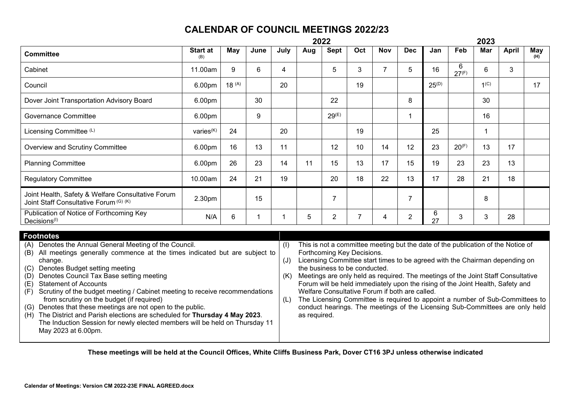## **CALENDAR OF COUNCIL MEETINGS 2022/23**

|                                                                                                                                                                                                                                                                                                                                                                                                                                                                                                                                                                                                                                                                                                               | 2022                   |            |             |      |                                                                                                                                                                                                                                                                                                                                                                                                                                                                                                                                                                                                                                        |                |                |                |                |            | 2023       |                  |              |                   |  |
|---------------------------------------------------------------------------------------------------------------------------------------------------------------------------------------------------------------------------------------------------------------------------------------------------------------------------------------------------------------------------------------------------------------------------------------------------------------------------------------------------------------------------------------------------------------------------------------------------------------------------------------------------------------------------------------------------------------|------------------------|------------|-------------|------|----------------------------------------------------------------------------------------------------------------------------------------------------------------------------------------------------------------------------------------------------------------------------------------------------------------------------------------------------------------------------------------------------------------------------------------------------------------------------------------------------------------------------------------------------------------------------------------------------------------------------------------|----------------|----------------|----------------|----------------|------------|------------|------------------|--------------|-------------------|--|
| <b>Committee</b>                                                                                                                                                                                                                                                                                                                                                                                                                                                                                                                                                                                                                                                                                              | <b>Start at</b><br>(B) | May        | June        | July | Aug                                                                                                                                                                                                                                                                                                                                                                                                                                                                                                                                                                                                                                    | <b>Sept</b>    | Oct            | <b>Nov</b>     | <b>Dec</b>     | Jan        | Feb        | Mar              | <b>April</b> | <b>May</b><br>(H) |  |
| Cabinet                                                                                                                                                                                                                                                                                                                                                                                                                                                                                                                                                                                                                                                                                                       | 11.00am                | 9          | 6           | 4    |                                                                                                                                                                                                                                                                                                                                                                                                                                                                                                                                                                                                                                        | 5              | 3              | $\overline{7}$ | 5              | 16         | 6<br>27(F) | 6                | 3            |                   |  |
| Council                                                                                                                                                                                                                                                                                                                                                                                                                                                                                                                                                                                                                                                                                                       | 6.00pm                 | $18^{(A)}$ |             | 20   |                                                                                                                                                                                                                                                                                                                                                                                                                                                                                                                                                                                                                                        |                | 19             |                |                | $25^{(D)}$ |            | 1 <sup>(C)</sup> |              | 17                |  |
| Dover Joint Transportation Advisory Board                                                                                                                                                                                                                                                                                                                                                                                                                                                                                                                                                                                                                                                                     | 6.00pm                 |            | 30          |      |                                                                                                                                                                                                                                                                                                                                                                                                                                                                                                                                                                                                                                        | 22             |                |                | 8              |            |            | 30               |              |                   |  |
| <b>Governance Committee</b>                                                                                                                                                                                                                                                                                                                                                                                                                                                                                                                                                                                                                                                                                   | 6.00pm                 |            | 9           |      |                                                                                                                                                                                                                                                                                                                                                                                                                                                                                                                                                                                                                                        | $29^{(E)}$     |                |                | $\mathbf{1}$   |            |            | 16               |              |                   |  |
| Licensing Committee (L)                                                                                                                                                                                                                                                                                                                                                                                                                                                                                                                                                                                                                                                                                       | varies <sup>(K)</sup>  | 24         |             | 20   |                                                                                                                                                                                                                                                                                                                                                                                                                                                                                                                                                                                                                                        |                | 19             |                |                | 25         |            | $\mathbf{1}$     |              |                   |  |
| Overview and Scrutiny Committee                                                                                                                                                                                                                                                                                                                                                                                                                                                                                                                                                                                                                                                                               | 6.00pm                 | 16         | 13          | 11   |                                                                                                                                                                                                                                                                                                                                                                                                                                                                                                                                                                                                                                        | 12             | 10             | 14             | 12             | 23         | 20(F)      | 13               | 17           |                   |  |
| <b>Planning Committee</b>                                                                                                                                                                                                                                                                                                                                                                                                                                                                                                                                                                                                                                                                                     | 6.00pm                 | 26         | 23          | 14   | 11                                                                                                                                                                                                                                                                                                                                                                                                                                                                                                                                                                                                                                     | 15             | 13             | 17             | 15             | 19         | 23         | 23               | 13           |                   |  |
| <b>Regulatory Committee</b>                                                                                                                                                                                                                                                                                                                                                                                                                                                                                                                                                                                                                                                                                   | 10.00am                | 24         | 21          | 19   |                                                                                                                                                                                                                                                                                                                                                                                                                                                                                                                                                                                                                                        | 20             | 18             | 22             | 13             | 17         | 28         | 21               | 18           |                   |  |
| Joint Health, Safety & Welfare Consultative Forum<br>Joint Staff Consultative Forum (G) (K)                                                                                                                                                                                                                                                                                                                                                                                                                                                                                                                                                                                                                   | 2.30pm                 |            | 15          |      |                                                                                                                                                                                                                                                                                                                                                                                                                                                                                                                                                                                                                                        | $\overline{7}$ |                |                | 7              |            |            | 8                |              |                   |  |
| Publication of Notice of Forthcoming Key<br>Decisions <sup>(I)</sup>                                                                                                                                                                                                                                                                                                                                                                                                                                                                                                                                                                                                                                          | N/A                    | 6          | $\mathbf 1$ | 1    | 5                                                                                                                                                                                                                                                                                                                                                                                                                                                                                                                                                                                                                                      | $\overline{2}$ | $\overline{7}$ | 4              | $\overline{2}$ | 6<br>27    | 3          | 3                | 28           |                   |  |
|                                                                                                                                                                                                                                                                                                                                                                                                                                                                                                                                                                                                                                                                                                               |                        |            |             |      |                                                                                                                                                                                                                                                                                                                                                                                                                                                                                                                                                                                                                                        |                |                |                |                |            |            |                  |              |                   |  |
| <b>Footnotes</b><br>Denotes the Annual General Meeting of the Council.<br>(A)<br>All meetings generally commence at the times indicated but are subject to<br>(B)<br>change.<br>Denotes Budget setting meeting<br>(C)<br>Denotes Council Tax Base setting meeting<br>(D)<br><b>Statement of Accounts</b><br>(E)<br>Scrutiny of the budget meeting / Cabinet meeting to receive recommendations<br>(F)<br>from scrutiny on the budget (if required)<br>Denotes that these meetings are not open to the public.<br>(G)<br>The District and Parish elections are scheduled for Thursday 4 May 2023.<br>(H)<br>The Induction Session for newly elected members will be held on Thursday 11<br>May 2023 at 6.00pm. |                        |            |             |      | This is not a committee meeting but the date of the publication of the Notice of<br>Forthcoming Key Decisions.<br>Licensing Committee start times to be agreed with the Chairman depending on<br>the business to be conducted.<br>Meetings are only held as required. The meetings of the Joint Staff Consultative<br>Forum will be held immediately upon the rising of the Joint Health, Safety and<br>Welfare Consultative Forum if both are called.<br>The Licensing Committee is required to appoint a number of Sub-Committees to<br>conduct hearings. The meetings of the Licensing Sub-Committees are only held<br>as required. |                |                |                |                |            |            |                  |              |                   |  |

**These meetings will be held at the Council Offices, White Cliffs Business Park, Dover CT16 3PJ unless otherwise indicated**